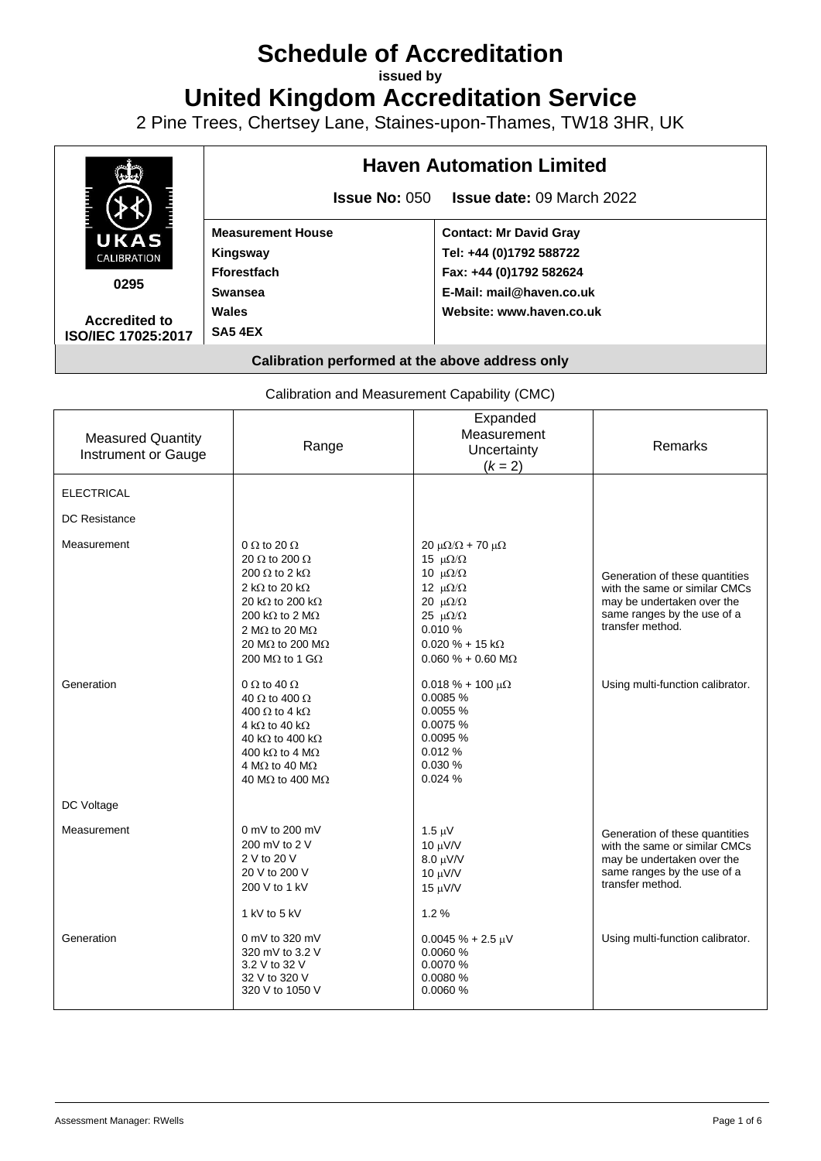# **Schedule of Accreditation**

**issued by**

**United Kingdom Accreditation Service**

2 Pine Trees, Chertsey Lane, Staines-upon-Thames, TW18 3HR, UK



Calibration and Measurement Capability (CMC)

| <b>Measured Quantity</b><br>Instrument or Gauge | Range                                                                                                                                                                                                                                                                                | Expanded<br>Measurement<br>Uncertainty<br>$(k = 2)$                                                                                                                                                                                  | <b>Remarks</b>                                                                                                                                   |
|-------------------------------------------------|--------------------------------------------------------------------------------------------------------------------------------------------------------------------------------------------------------------------------------------------------------------------------------------|--------------------------------------------------------------------------------------------------------------------------------------------------------------------------------------------------------------------------------------|--------------------------------------------------------------------------------------------------------------------------------------------------|
| <b>ELECTRICAL</b>                               |                                                                                                                                                                                                                                                                                      |                                                                                                                                                                                                                                      |                                                                                                                                                  |
| <b>DC Resistance</b>                            |                                                                                                                                                                                                                                                                                      |                                                                                                                                                                                                                                      |                                                                                                                                                  |
| Measurement                                     | 0 $\Omega$ to 20 $\Omega$<br>20 $\Omega$ to 200 $\Omega$<br>200 $\Omega$ to 2 k $\Omega$<br>2 k $\Omega$ to 20 k $\Omega$<br>20 k $\Omega$ to 200 k $\Omega$<br>200 k $\Omega$ to 2 M $\Omega$<br>2 M $\Omega$ to 20 M $\Omega$<br>20 MΩ to 200 MΩ<br>200 M $\Omega$ to 1 G $\Omega$ | 20 μ $\Omega/\Omega$ + 70 μ $\Omega$<br>15 $\mu\Omega/\Omega$<br>10 $\mu\Omega/\Omega$<br>12 $\mu\Omega/\Omega$<br>20 $\mu\Omega/\Omega$<br>25 $\mu\Omega/\Omega$<br>0.010 %<br>$0.020 \% + 15 k\Omega$<br>$0.060 \% + 0.60 M\Omega$ | Generation of these quantities<br>with the same or similar CMCs<br>may be undertaken over the<br>same ranges by the use of a<br>transfer method. |
| Generation                                      | 0 $\Omega$ to 40 $\Omega$<br>40 $\Omega$ to 400 $\Omega$<br>400 $\Omega$ to 4 k $\Omega$<br>4 k $\Omega$ to 40 k $\Omega$<br>40 k $\Omega$ to 400 k $\Omega$<br>400 k $\Omega$ to 4 M $\Omega$<br>4 M $\Omega$ to 40 M $\Omega$<br>40 M $\Omega$ to 400 M $\Omega$                   | $0.018 \% + 100 \mu\Omega$<br>0.0085 %<br>0.0055%<br>0.0075 %<br>0.0095%<br>0.012%<br>0.030%<br>0.024%                                                                                                                               | Using multi-function calibrator.                                                                                                                 |
| DC Voltage                                      |                                                                                                                                                                                                                                                                                      |                                                                                                                                                                                                                                      |                                                                                                                                                  |
| Measurement                                     | 0 mV to 200 mV<br>200 mV to 2 V<br>2 V to 20 V<br>20 V to 200 V<br>200 V to 1 kV                                                                                                                                                                                                     | $1.5 \mu V$<br>$10 \mu V/V$<br>$8.0 \mu\text{V/V}$<br>10 μV/V<br>15 μV/V                                                                                                                                                             | Generation of these quantities<br>with the same or similar CMCs<br>may be undertaken over the<br>same ranges by the use of a<br>transfer method. |
|                                                 | 1 kV to 5 kV                                                                                                                                                                                                                                                                         | 1.2%                                                                                                                                                                                                                                 |                                                                                                                                                  |
| Generation                                      | 0 mV to 320 mV<br>320 mV to 3.2 V<br>3.2 V to 32 V<br>32 V to 320 V<br>320 V to 1050 V                                                                                                                                                                                               | $0.0045% + 2.5 \mu V$<br>0.0060 %<br>0.0070%<br>0.0080 %<br>0.0060%                                                                                                                                                                  | Using multi-function calibrator.                                                                                                                 |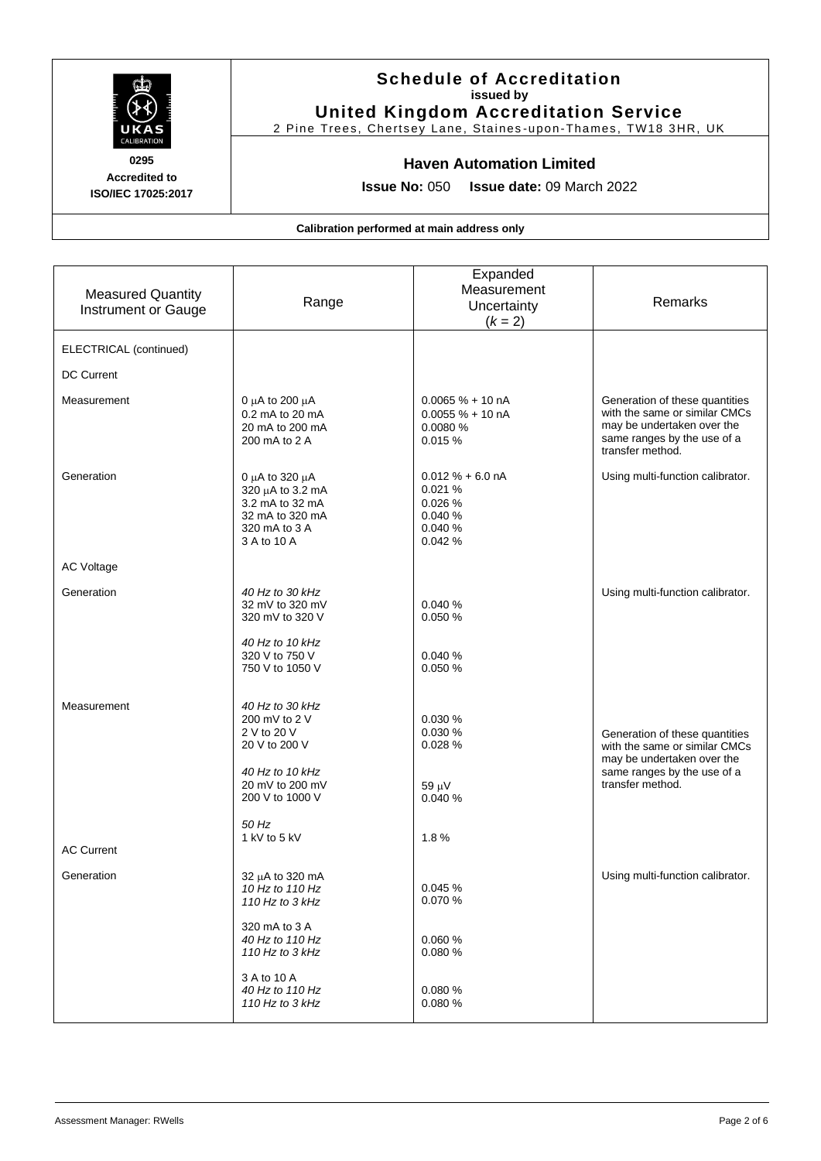

# **Schedule of Accreditation issued by United Kingdom Accreditation Service**

2 Pine Trees, Chertsey Lane, Staines -upon-Thames, TW18 3HR, UK

# **Haven Automation Limited**

**Issue No:** 050 **Issue date:** 09 March 2022

| <b>Measured Quantity</b><br><b>Instrument or Gauge</b> | Range                                                                                                                              | Expanded<br>Measurement<br>Uncertainty<br>$(k = 2)$                      | Remarks                                                                                                                                          |
|--------------------------------------------------------|------------------------------------------------------------------------------------------------------------------------------------|--------------------------------------------------------------------------|--------------------------------------------------------------------------------------------------------------------------------------------------|
| ELECTRICAL (continued)                                 |                                                                                                                                    |                                                                          |                                                                                                                                                  |
| <b>DC Current</b>                                      |                                                                                                                                    |                                                                          |                                                                                                                                                  |
| Measurement                                            | 0 $\mu$ A to 200 $\mu$ A<br>0.2 mA to 20 mA<br>20 mA to 200 mA<br>200 mA to 2 A                                                    | $0.0065% + 10 nA$<br>$0.0055% + 10nA$<br>0.0080 %<br>0.015%              | Generation of these quantities<br>with the same or similar CMCs<br>may be undertaken over the<br>same ranges by the use of a<br>transfer method. |
| Generation                                             | 0 $\mu$ A to 320 $\mu$ A<br>320 µA to 3.2 mA<br>3.2 mA to 32 mA<br>32 mA to 320 mA<br>320 mA to 3 A<br>3 A to 10 A                 | $0.012 \% + 6.0 nA$<br>0.021%<br>0.026 %<br>0.040 %<br>0.040 %<br>0.042% | Using multi-function calibrator.                                                                                                                 |
| <b>AC Voltage</b>                                      |                                                                                                                                    |                                                                          |                                                                                                                                                  |
| Generation                                             | 40 Hz to 30 kHz<br>32 mV to 320 mV<br>320 mV to 320 V                                                                              | 0.040 %<br>0.050 %                                                       | Using multi-function calibrator.                                                                                                                 |
|                                                        | 40 Hz to 10 kHz<br>320 V to 750 V<br>750 V to 1050 V                                                                               | 0.040 %<br>0.050 %                                                       |                                                                                                                                                  |
| Measurement                                            | 40 Hz to 30 kHz<br>200 mV to 2 V<br>2 V to 20 V<br>20 V to 200 V<br>40 Hz to 10 kHz<br>20 mV to 200 mV<br>200 V to 1000 V<br>50 Hz | 0.030 %<br>0.030 %<br>0.028 %<br>$59 \mu V$<br>0.040 %                   | Generation of these quantities<br>with the same or similar CMCs<br>may be undertaken over the<br>same ranges by the use of a<br>transfer method. |
| <b>AC Current</b>                                      | 1 kV to 5 kV                                                                                                                       | 1.8%                                                                     |                                                                                                                                                  |
| Generation                                             | 32 µA to 320 mA<br>10 Hz to 110 Hz<br>110 Hz to 3 kHz                                                                              | 0.045%<br>0.070 %                                                        | Using multi-function calibrator.                                                                                                                 |
|                                                        | 320 mA to 3 A<br>40 Hz to 110 Hz<br>110 Hz to $3$ kHz                                                                              | 0.060%<br>0.080%                                                         |                                                                                                                                                  |
|                                                        | 3 A to 10 A<br>40 Hz to 110 Hz<br>110 Hz to $3$ kHz                                                                                | 0.080%<br>0.080%                                                         |                                                                                                                                                  |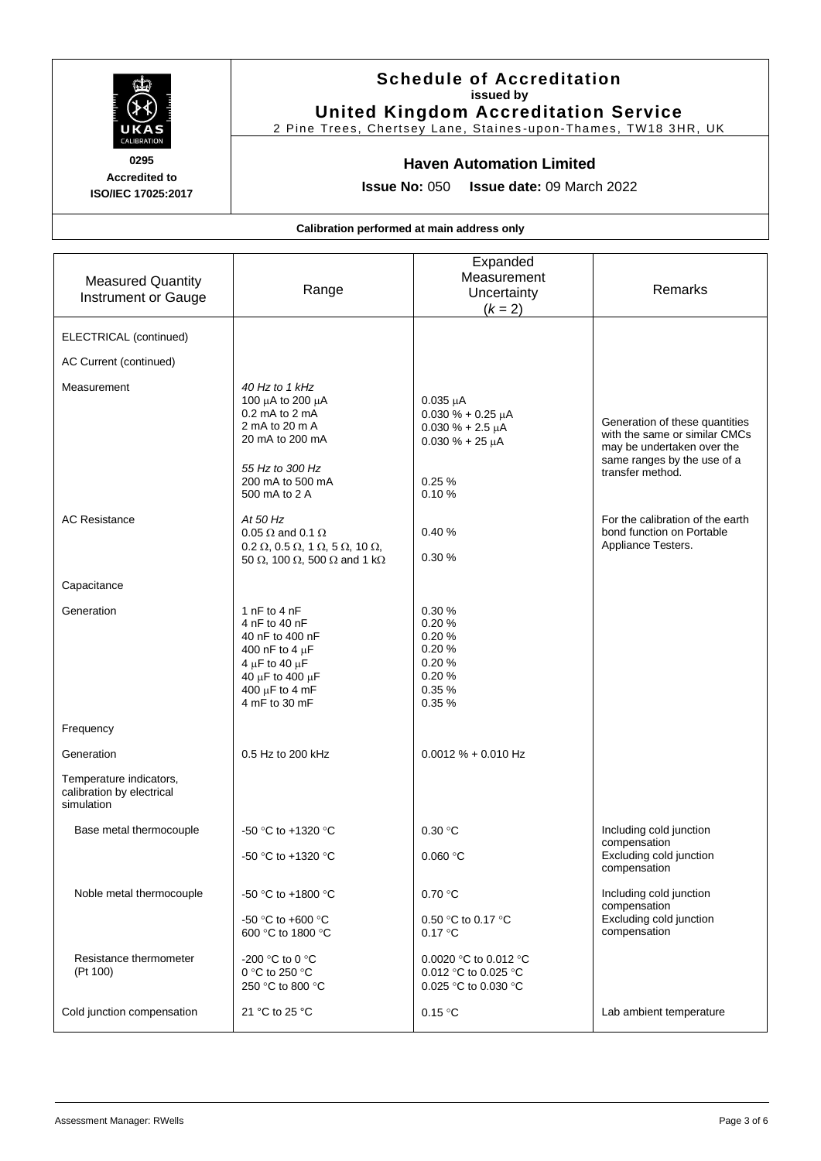

# **Schedule of Accreditation issued by United Kingdom Accreditation Service**

2 Pine Trees, Chertsey Lane, Staines -upon-Thames, TW18 3HR, UK

## **Haven Automation Limited**

**Issue No:** 050 **Issue date:** 09 March 2022

| <b>Measured Quantity</b><br><b>Instrument or Gauge</b>             | Range                                                                                                                                                                             | Expanded<br>Measurement<br>Uncertainty<br>$(k = 2)$                                                           | Remarks                                                                                                                                          |
|--------------------------------------------------------------------|-----------------------------------------------------------------------------------------------------------------------------------------------------------------------------------|---------------------------------------------------------------------------------------------------------------|--------------------------------------------------------------------------------------------------------------------------------------------------|
| ELECTRICAL (continued)                                             |                                                                                                                                                                                   |                                                                                                               |                                                                                                                                                  |
| AC Current (continued)                                             |                                                                                                                                                                                   |                                                                                                               |                                                                                                                                                  |
| Measurement                                                        | 40 Hz to 1 kHz<br>100 μA to 200 μA<br>$0.2$ mA to $2$ mA<br>2 mA to 20 m A<br>20 mA to 200 mA<br>55 Hz to 300 Hz<br>200 mA to 500 mA<br>500 mA to 2 A                             | $0.035 \mu A$<br>$0.030 \% + 0.25 \mu A$<br>$0.030 \% + 2.5 \mu A$<br>$0.030 \% + 25 \mu A$<br>0.25%<br>0.10% | Generation of these quantities<br>with the same or similar CMCs<br>may be undertaken over the<br>same ranges by the use of a<br>transfer method. |
| <b>AC Resistance</b>                                               | At 50 Hz<br>0.05 $\Omega$ and 0.1 $\Omega$<br>$0.2 \Omega$ , $0.5 \Omega$ , $1 \Omega$ , $5 \Omega$ , $10 \Omega$ ,<br>50 $\Omega$ , 100 $\Omega$ , 500 $\Omega$ and 1 k $\Omega$ | 0.40%<br>0.30%                                                                                                | For the calibration of the earth<br>bond function on Portable<br>Appliance Testers.                                                              |
| Capacitance                                                        |                                                                                                                                                                                   |                                                                                                               |                                                                                                                                                  |
| Generation                                                         | 1 $nF$ to 4 $nF$<br>4 nF to 40 nF<br>40 nF to 400 nF<br>400 nF to 4 $\mu$ F<br>4 $\mu$ F to 40 $\mu$ F<br>40 μF to 400 μF<br>400 $\mu$ F to 4 mF<br>4 mF to 30 mF                 | 0.30%<br>0.20%<br>0.20%<br>0.20%<br>0.20%<br>0.20%<br>0.35%<br>0.35%                                          |                                                                                                                                                  |
| Frequency                                                          |                                                                                                                                                                                   |                                                                                                               |                                                                                                                                                  |
| Generation                                                         | 0.5 Hz to 200 kHz                                                                                                                                                                 | $0.0012 \% + 0.010 Hz$                                                                                        |                                                                                                                                                  |
| Temperature indicators,<br>calibration by electrical<br>simulation |                                                                                                                                                                                   |                                                                                                               |                                                                                                                                                  |
| Base metal thermocouple                                            | -50 °C to +1320 °C                                                                                                                                                                | 0.30 °C                                                                                                       | Including cold junction<br>compensation                                                                                                          |
|                                                                    | -50 °C to +1320 °C                                                                                                                                                                | 0.060 °C                                                                                                      | Excluding cold junction<br>compensation                                                                                                          |
| Noble metal thermocouple                                           | -50 °C to +1800 °C<br>-50 °C to +600 °C<br>600 °C to 1800 °C                                                                                                                      | 0.70 °C<br>0.50 °C to 0.17 °C<br>0.17 °C                                                                      | Including cold junction<br>compensation<br>Excluding cold junction<br>compensation                                                               |
| Resistance thermometer<br>(Pt 100)                                 | -200 °C to 0 °C<br>0 °C to 250 °C<br>250 °C to 800 °C                                                                                                                             | 0.0020 °C to 0.012 °C<br>0.012 °C to 0.025 °C<br>0.025 °C to 0.030 °C                                         |                                                                                                                                                  |
| Cold junction compensation                                         | 21 °C to 25 °C                                                                                                                                                                    | 0.15 °C                                                                                                       | Lab ambient temperature                                                                                                                          |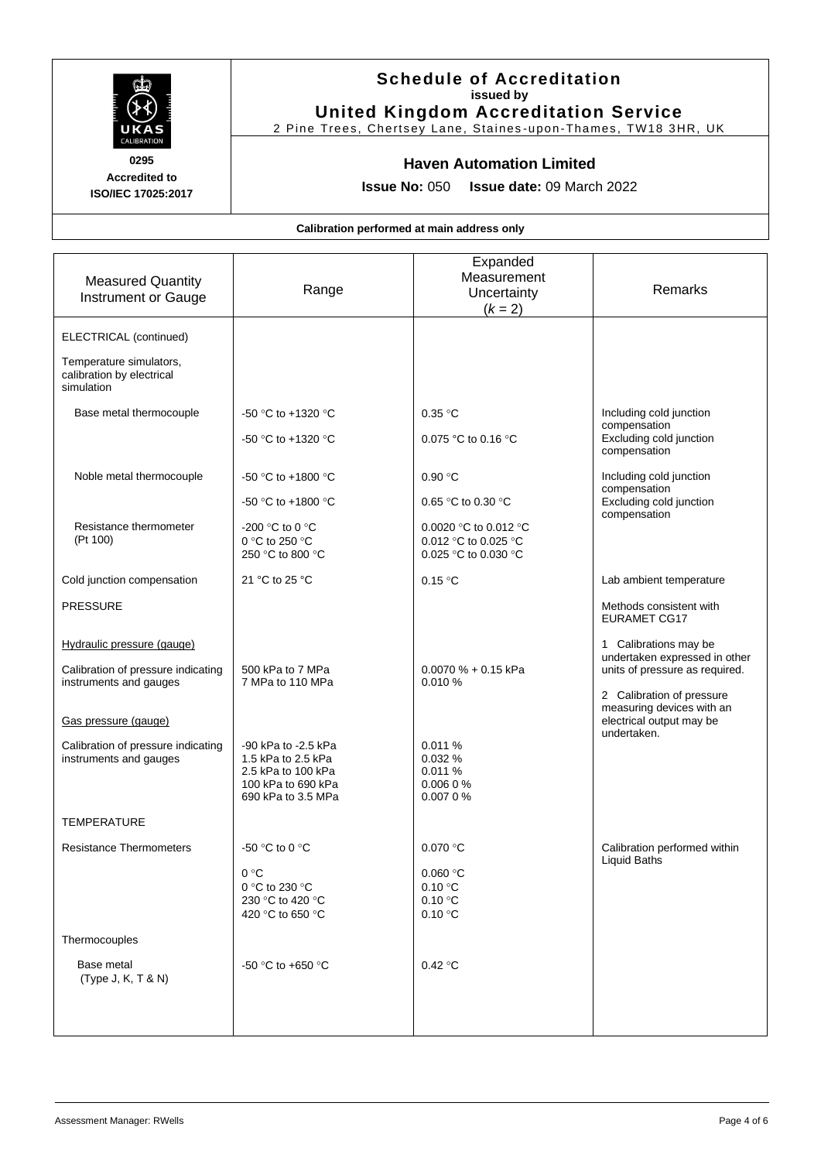

# **Schedule of Accreditation issued by United Kingdom Accreditation Service**

2 Pine Trees, Chertsey Lane, Staines -upon-Thames, TW18 3HR, UK

# **Haven Automation Limited**

**Issue No:** 050 **Issue date:** 09 March 2022

| <b>Measured Quantity</b><br>Instrument or Gauge                                                                                                                                    | Range                                                                                                                         | Expanded<br>Measurement<br>Uncertainty<br>$(k = 2)$                                                    | Remarks                                                                                                                                                                                       |
|------------------------------------------------------------------------------------------------------------------------------------------------------------------------------------|-------------------------------------------------------------------------------------------------------------------------------|--------------------------------------------------------------------------------------------------------|-----------------------------------------------------------------------------------------------------------------------------------------------------------------------------------------------|
| ELECTRICAL (continued)<br>Temperature simulators,<br>calibration by electrical<br>simulation                                                                                       |                                                                                                                               |                                                                                                        |                                                                                                                                                                                               |
| Base metal thermocouple                                                                                                                                                            | -50 °C to +1320 °C<br>-50 °C to +1320 °C                                                                                      | 0.35 °C<br>0.075 °C to 0.16 °C                                                                         | Including cold junction<br>compensation<br>Excluding cold junction<br>compensation                                                                                                            |
| Noble metal thermocouple<br>Resistance thermometer<br>(Pt 100)                                                                                                                     | -50 °C to +1800 °C<br>-50 °C to +1800 °C<br>-200 °C to 0 °C<br>0 °C to 250 °C<br>250 °C to 800 °C                             | 0.90 °C<br>0.65 °C to 0.30 °C<br>0.0020 °C to 0.012 °C<br>0.012 °C to 0.025 °C<br>0.025 °C to 0.030 °C | Including cold junction<br>compensation<br>Excluding cold junction<br>compensation                                                                                                            |
| Cold junction compensation<br><b>PRESSURE</b>                                                                                                                                      | 21 °C to 25 °C                                                                                                                | 0.15 °C                                                                                                | Lab ambient temperature<br>Methods consistent with<br><b>EURAMET CG17</b>                                                                                                                     |
| Hydraulic pressure (gauge)<br>Calibration of pressure indicating<br>instruments and gauges<br>Gas pressure (gauge)<br>Calibration of pressure indicating<br>instruments and gauges | 500 kPa to 7 MPa<br>7 MPa to 110 MPa<br>-90 kPa to -2.5 kPa<br>1.5 kPa to 2.5 kPa<br>2.5 kPa to 100 kPa<br>100 kPa to 690 kPa | $0.0070% + 0.15$ kPa<br>0.010%<br>0.011 %<br>0.032%<br>0.011%<br>0.0060%                               | 1 Calibrations may be<br>undertaken expressed in other<br>units of pressure as required.<br>2 Calibration of pressure<br>measuring devices with an<br>electrical output may be<br>undertaken. |
| <b>TEMPERATURE</b><br><b>Resistance Thermometers</b>                                                                                                                               | 690 kPa to 3.5 MPa<br>-50 °C to 0 °C<br>0 °C<br>0 °C to 230 °C                                                                | 0.0070%<br>0.070 °C<br>$0.060$ °C<br>0.10 °C                                                           | Calibration performed within<br>Liquid Baths                                                                                                                                                  |
| Thermocouples<br>Base metal<br>(Type J, K, T & N)                                                                                                                                  | 230 °C to 420 °C<br>420 °C to 650 °C<br>-50 °C to +650 °C                                                                     | 0.10 °C<br>0.10 °C<br>0.42 °C                                                                          |                                                                                                                                                                                               |
|                                                                                                                                                                                    |                                                                                                                               |                                                                                                        |                                                                                                                                                                                               |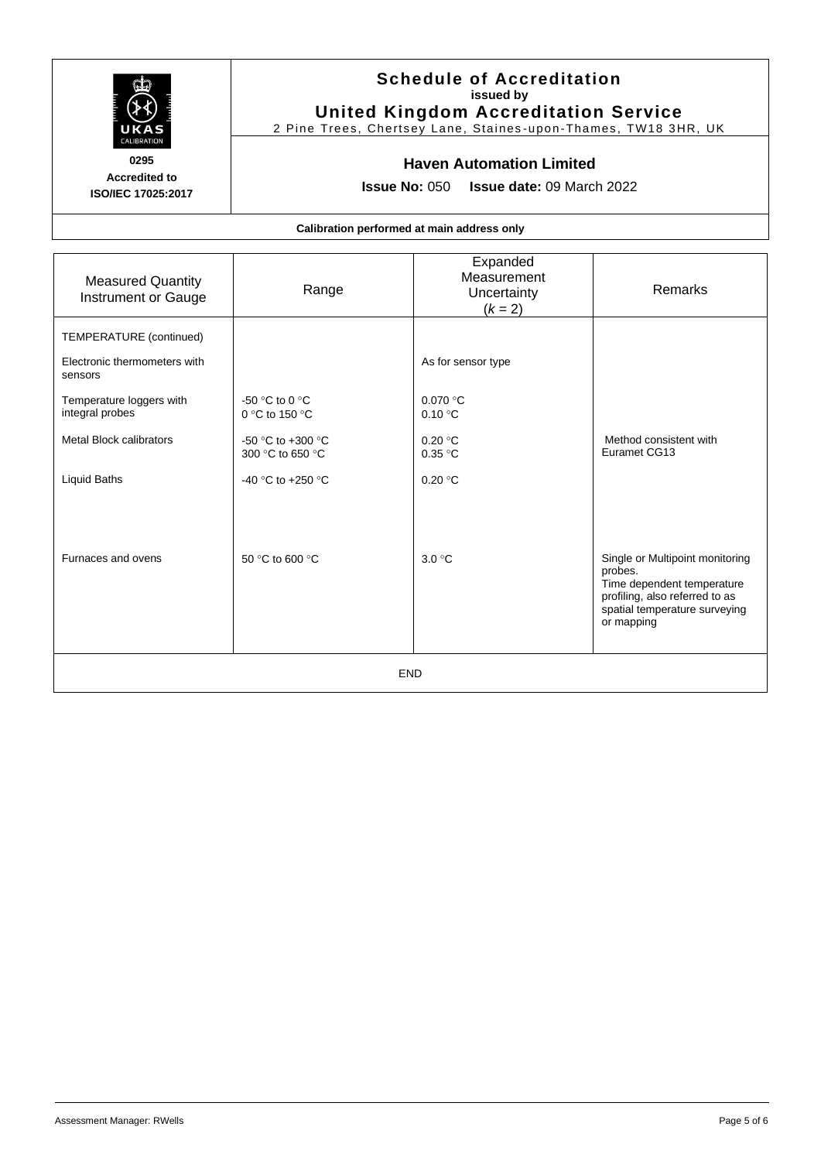

# **Schedule of Accreditation issued by United Kingdom Accreditation Service**

2 Pine Trees, Chertsey Lane, Staines -upon-Thames, TW18 3HR, UK

# **Haven Automation Limited**

**Issue No:** 050 **Issue date:** 09 March 2022

| <b>Measured Quantity</b><br>Instrument or Gauge                    | Range                                              | Expanded<br>Measurement<br>Uncertainty<br>$(k = 2)$ | Remarks                                                                                                                                                   |
|--------------------------------------------------------------------|----------------------------------------------------|-----------------------------------------------------|-----------------------------------------------------------------------------------------------------------------------------------------------------------|
| TEMPERATURE (continued)<br>Electronic thermometers with<br>sensors |                                                    | As for sensor type                                  |                                                                                                                                                           |
| Temperature loggers with<br>integral probes                        | -50 $\degree$ C to 0 $\degree$ C<br>0 °C to 150 °C | 0.070 °C<br>0.10 °C                                 |                                                                                                                                                           |
| <b>Metal Block calibrators</b>                                     | -50 °C to +300 °C<br>300 °C to 650 °C              | 0.20 °C<br>0.35 °C                                  | Method consistent with<br>Euramet CG13                                                                                                                    |
| <b>Liquid Baths</b>                                                | -40 °C to +250 °C                                  | 0.20 °C                                             |                                                                                                                                                           |
|                                                                    |                                                    |                                                     |                                                                                                                                                           |
| Furnaces and ovens                                                 | 50 °C to 600 °C                                    | 3.0 °C                                              | Single or Multipoint monitoring<br>probes.<br>Time dependent temperature<br>profiling, also referred to as<br>spatial temperature surveying<br>or mapping |
| <b>END</b>                                                         |                                                    |                                                     |                                                                                                                                                           |